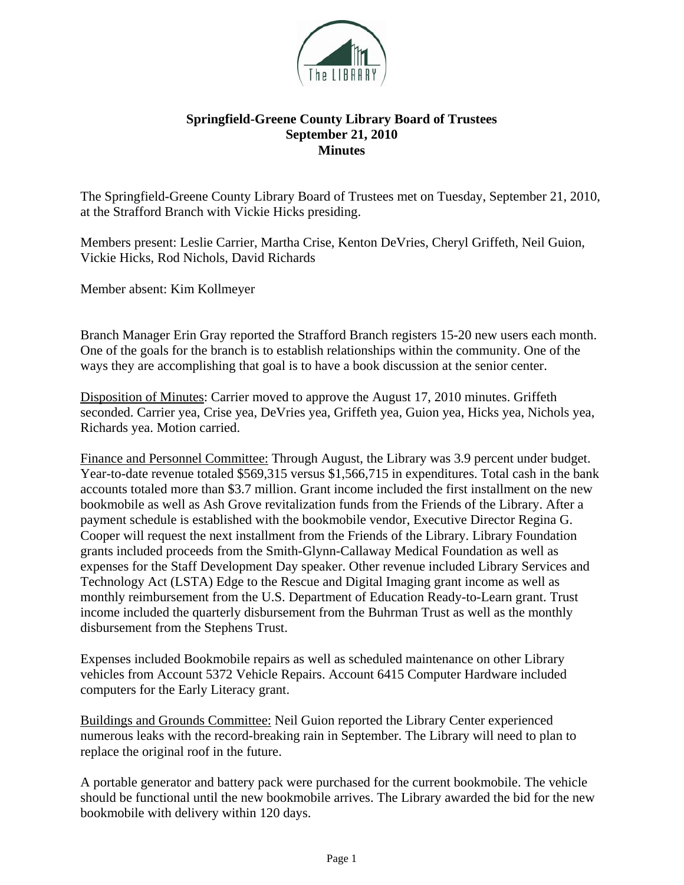

## **Springfield-Greene County Library Board of Trustees September 21, 2010 Minutes**

The Springfield-Greene County Library Board of Trustees met on Tuesday, September 21, 2010, at the Strafford Branch with Vickie Hicks presiding.

Members present: Leslie Carrier, Martha Crise, Kenton DeVries, Cheryl Griffeth, Neil Guion, Vickie Hicks, Rod Nichols, David Richards

Member absent: Kim Kollmeyer

Branch Manager Erin Gray reported the Strafford Branch registers 15-20 new users each month. One of the goals for the branch is to establish relationships within the community. One of the ways they are accomplishing that goal is to have a book discussion at the senior center.

Disposition of Minutes: Carrier moved to approve the August 17, 2010 minutes. Griffeth seconded. Carrier yea, Crise yea, DeVries yea, Griffeth yea, Guion yea, Hicks yea, Nichols yea, Richards yea. Motion carried.

Finance and Personnel Committee: Through August, the Library was 3.9 percent under budget. Year-to-date revenue totaled \$569,315 versus \$1,566,715 in expenditures. Total cash in the bank accounts totaled more than \$3.7 million. Grant income included the first installment on the new bookmobile as well as Ash Grove revitalization funds from the Friends of the Library. After a payment schedule is established with the bookmobile vendor, Executive Director Regina G. Cooper will request the next installment from the Friends of the Library. Library Foundation grants included proceeds from the Smith-Glynn-Callaway Medical Foundation as well as expenses for the Staff Development Day speaker. Other revenue included Library Services and Technology Act (LSTA) Edge to the Rescue and Digital Imaging grant income as well as monthly reimbursement from the U.S. Department of Education Ready-to-Learn grant. Trust income included the quarterly disbursement from the Buhrman Trust as well as the monthly disbursement from the Stephens Trust.

Expenses included Bookmobile repairs as well as scheduled maintenance on other Library vehicles from Account 5372 Vehicle Repairs. Account 6415 Computer Hardware included computers for the Early Literacy grant.

Buildings and Grounds Committee: Neil Guion reported the Library Center experienced numerous leaks with the record-breaking rain in September. The Library will need to plan to replace the original roof in the future.

A portable generator and battery pack were purchased for the current bookmobile. The vehicle should be functional until the new bookmobile arrives. The Library awarded the bid for the new bookmobile with delivery within 120 days.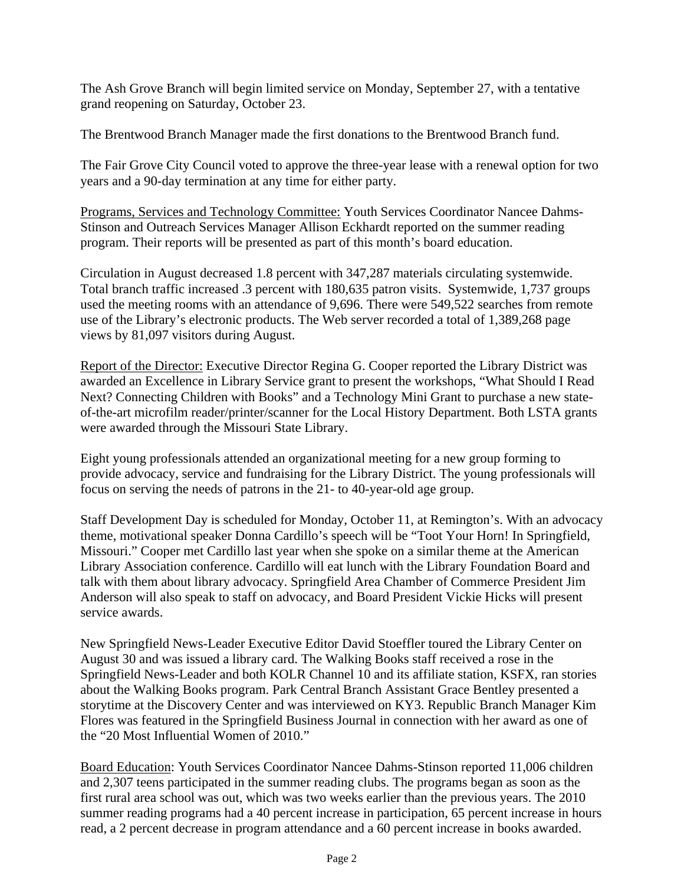The Ash Grove Branch will begin limited service on Monday, September 27, with a tentative grand reopening on Saturday, October 23.

The Brentwood Branch Manager made the first donations to the Brentwood Branch fund.

The Fair Grove City Council voted to approve the three-year lease with a renewal option for two years and a 90-day termination at any time for either party.

Programs, Services and Technology Committee: Youth Services Coordinator Nancee Dahms-Stinson and Outreach Services Manager Allison Eckhardt reported on the summer reading program. Their reports will be presented as part of this month's board education.

Circulation in August decreased 1.8 percent with 347,287 materials circulating systemwide. Total branch traffic increased .3 percent with 180,635 patron visits. Systemwide, 1,737 groups used the meeting rooms with an attendance of 9,696. There were 549,522 searches from remote use of the Library's electronic products. The Web server recorded a total of 1,389,268 page views by 81,097 visitors during August.

Report of the Director: Executive Director Regina G. Cooper reported the Library District was awarded an Excellence in Library Service grant to present the workshops, "What Should I Read Next? Connecting Children with Books" and a Technology Mini Grant to purchase a new stateof-the-art microfilm reader/printer/scanner for the Local History Department. Both LSTA grants were awarded through the Missouri State Library.

Eight young professionals attended an organizational meeting for a new group forming to provide advocacy, service and fundraising for the Library District. The young professionals will focus on serving the needs of patrons in the 21- to 40-year-old age group.

Staff Development Day is scheduled for Monday, October 11, at Remington's. With an advocacy theme, motivational speaker Donna Cardillo's speech will be "Toot Your Horn! In Springfield, Missouri." Cooper met Cardillo last year when she spoke on a similar theme at the American Library Association conference. Cardillo will eat lunch with the Library Foundation Board and talk with them about library advocacy. Springfield Area Chamber of Commerce President Jim Anderson will also speak to staff on advocacy, and Board President Vickie Hicks will present service awards.

New Springfield News-Leader Executive Editor David Stoeffler toured the Library Center on August 30 and was issued a library card. The Walking Books staff received a rose in the Springfield News-Leader and both KOLR Channel 10 and its affiliate station, KSFX, ran stories about the Walking Books program. Park Central Branch Assistant Grace Bentley presented a storytime at the Discovery Center and was interviewed on KY3. Republic Branch Manager Kim Flores was featured in the Springfield Business Journal in connection with her award as one of the "20 Most Influential Women of 2010."

Board Education: Youth Services Coordinator Nancee Dahms-Stinson reported 11,006 children and 2,307 teens participated in the summer reading clubs. The programs began as soon as the first rural area school was out, which was two weeks earlier than the previous years. The 2010 summer reading programs had a 40 percent increase in participation, 65 percent increase in hours read, a 2 percent decrease in program attendance and a 60 percent increase in books awarded.